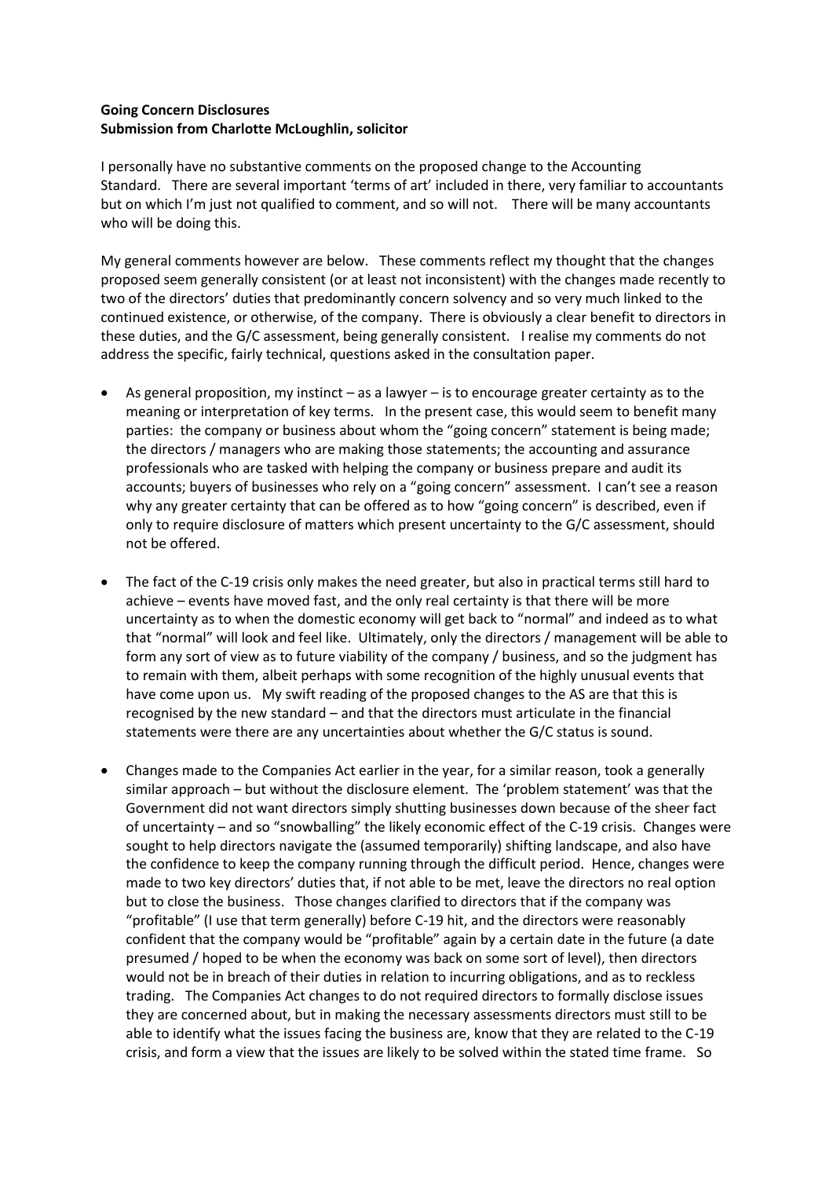## **Going Concern Disclosures Submission from Charlotte McLoughlin, solicitor**

I personally have no substantive comments on the proposed change to the Accounting Standard. There are several important 'terms of art' included in there, very familiar to accountants but on which I'm just not qualified to comment, and so will not. There will be many accountants who will be doing this.

My general comments however are below. These comments reflect my thought that the changes proposed seem generally consistent (or at least not inconsistent) with the changes made recently to two of the directors' duties that predominantly concern solvency and so very much linked to the continued existence, or otherwise, of the company. There is obviously a clear benefit to directors in these duties, and the G/C assessment, being generally consistent. I realise my comments do not address the specific, fairly technical, questions asked in the consultation paper.

- As general proposition, my instinct as a lawyer is to encourage greater certainty as to the meaning or interpretation of key terms. In the present case, this would seem to benefit many parties: the company or business about whom the "going concern" statement is being made; the directors / managers who are making those statements; the accounting and assurance professionals who are tasked with helping the company or business prepare and audit its accounts; buyers of businesses who rely on a "going concern" assessment. I can't see a reason why any greater certainty that can be offered as to how "going concern" is described, even if only to require disclosure of matters which present uncertainty to the G/C assessment, should not be offered.
- The fact of the C-19 crisis only makes the need greater, but also in practical terms still hard to achieve – events have moved fast, and the only real certainty is that there will be more uncertainty as to when the domestic economy will get back to "normal" and indeed as to what that "normal" will look and feel like. Ultimately, only the directors / management will be able to form any sort of view as to future viability of the company / business, and so the judgment has to remain with them, albeit perhaps with some recognition of the highly unusual events that have come upon us. My swift reading of the proposed changes to the AS are that this is recognised by the new standard – and that the directors must articulate in the financial statements were there are any uncertainties about whether the G/C status is sound.
- Changes made to the Companies Act earlier in the year, for a similar reason, took a generally similar approach – but without the disclosure element. The 'problem statement' was that the Government did not want directors simply shutting businesses down because of the sheer fact of uncertainty – and so "snowballing" the likely economic effect of the C-19 crisis. Changes were sought to help directors navigate the (assumed temporarily) shifting landscape, and also have the confidence to keep the company running through the difficult period. Hence, changes were made to two key directors' duties that, if not able to be met, leave the directors no real option but to close the business. Those changes clarified to directors that if the company was "profitable" (I use that term generally) before C-19 hit, and the directors were reasonably confident that the company would be "profitable" again by a certain date in the future (a date presumed / hoped to be when the economy was back on some sort of level), then directors would not be in breach of their duties in relation to incurring obligations, and as to reckless trading. The Companies Act changes to do not required directors to formally disclose issues they are concerned about, but in making the necessary assessments directors must still to be able to identify what the issues facing the business are, know that they are related to the C-19 crisis, and form a view that the issues are likely to be solved within the stated time frame. So